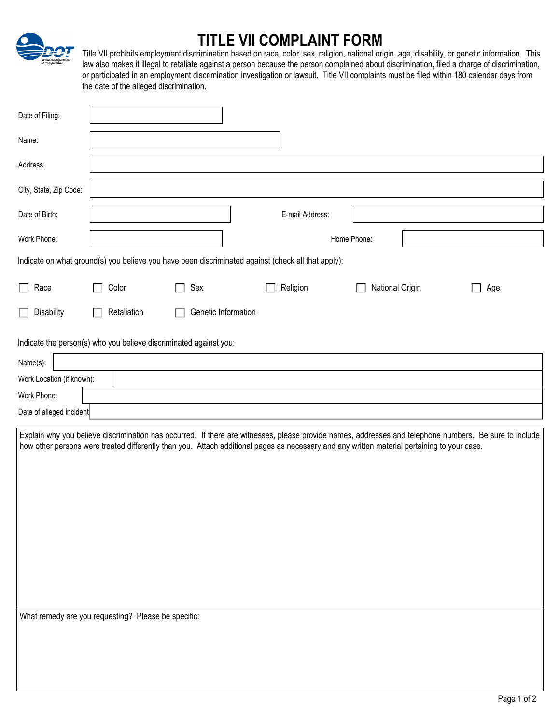## **TITLE VII COMPLAINT FORM**

Title VII prohibits employment discrimination based on race, color, sex, religion, national origin, age, disability, or genetic information. This law also makes it illegal to retaliate against a person because the person complained about discrimination, filed a charge of discrimination, or participated in an employment discrimination investigation or lawsuit. Title VII complaints must be filed within 180 calendar days from the date of the alleged discrimination.

| Date of Filing:           |                                                                   |                     |                                                                                                                                                        |                 |     |
|---------------------------|-------------------------------------------------------------------|---------------------|--------------------------------------------------------------------------------------------------------------------------------------------------------|-----------------|-----|
| Name:                     |                                                                   |                     |                                                                                                                                                        |                 |     |
| Address:                  |                                                                   |                     |                                                                                                                                                        |                 |     |
| City, State, Zip Code:    |                                                                   |                     |                                                                                                                                                        |                 |     |
| Date of Birth:            |                                                                   |                     | E-mail Address:                                                                                                                                        |                 |     |
| Work Phone:               |                                                                   |                     |                                                                                                                                                        | Home Phone:     |     |
|                           |                                                                   |                     | Indicate on what ground(s) you believe you have been discriminated against (check all that apply):                                                     |                 |     |
| Race<br>L                 | Color                                                             | Sex                 | Religion                                                                                                                                               | National Origin | Age |
| Disability                | Retaliation                                                       | Genetic Information |                                                                                                                                                        |                 |     |
|                           | Indicate the person(s) who you believe discriminated against you: |                     |                                                                                                                                                        |                 |     |
| Name(s):                  |                                                                   |                     |                                                                                                                                                        |                 |     |
| Work Location (if known): |                                                                   |                     |                                                                                                                                                        |                 |     |
| Work Phone:               |                                                                   |                     |                                                                                                                                                        |                 |     |
|                           |                                                                   |                     |                                                                                                                                                        |                 |     |
| Date of alleged incident  |                                                                   |                     |                                                                                                                                                        |                 |     |
|                           |                                                                   |                     | Explain why you believe discrimination has occurred. If there are witnesses, please provide names, addresses and telephone numbers. Be sure to include |                 |     |
|                           |                                                                   |                     | how other persons were treated differently than you. Attach additional pages as necessary and any written material pertaining to your case.            |                 |     |
|                           |                                                                   |                     |                                                                                                                                                        |                 |     |
|                           |                                                                   |                     |                                                                                                                                                        |                 |     |
|                           |                                                                   |                     |                                                                                                                                                        |                 |     |
|                           |                                                                   |                     |                                                                                                                                                        |                 |     |
|                           |                                                                   |                     |                                                                                                                                                        |                 |     |
|                           |                                                                   |                     |                                                                                                                                                        |                 |     |
|                           |                                                                   |                     |                                                                                                                                                        |                 |     |
|                           |                                                                   |                     |                                                                                                                                                        |                 |     |
|                           |                                                                   |                     |                                                                                                                                                        |                 |     |
|                           |                                                                   |                     |                                                                                                                                                        |                 |     |
|                           | What remedy are you requesting? Please be specific:               |                     |                                                                                                                                                        |                 |     |
|                           |                                                                   |                     |                                                                                                                                                        |                 |     |
|                           |                                                                   |                     |                                                                                                                                                        |                 |     |
|                           |                                                                   |                     |                                                                                                                                                        |                 |     |
|                           |                                                                   |                     |                                                                                                                                                        |                 |     |